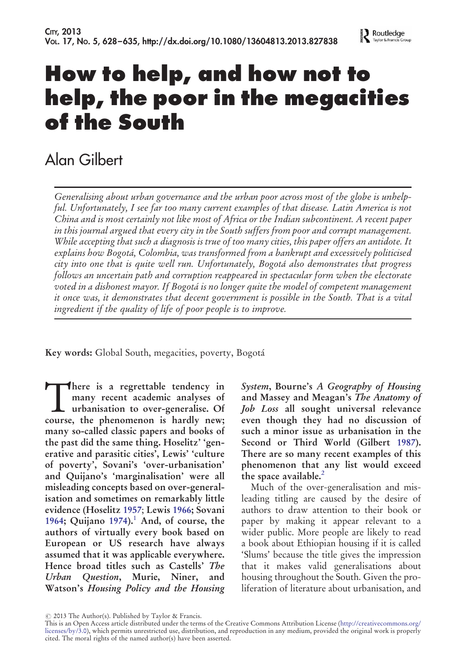## How to help, and how not to help, the poor in the megacities of the South

## Alan Gilbert

Generalising about urban governance and the urban poor across most of the globe is unhelpful. Unfortunately, I see far too many current examples of that disease. Latin America is not China and is most certainly not like most of Africa or the Indian subcontinent. A recent paper in this journal argued that every city in the South suffers from poor and corrupt management. While accepting that such a diagnosis is true of too many cities, this paper offers an antidote. It explains how Bogota´, Colombia, was transformed from a bankrupt and excessively politicised city into one that is quite well run. Unfortunately, Bogota´ also demonstrates that progress follows an uncertain path and corruption reappeared in spectacular form when the electorate voted in a dishonest mayor. If Bogotá is no longer quite the model of competent management it once was, it demonstrates that decent government is possible in the South. That is a vital ingredient if the quality of life of poor people is to improve.

Key words: Global South, megacities, poverty, Bogota´

There is a regrettable tendency in many recent academic analyses of urbanisation to over-generalise. Of course, the phenomenon is hardly new; many so-called classic papers and books of the past did the same thing. Hoselitz' 'generative and parasitic cities', Lewis' 'culture of poverty', Sovani's 'over-urbanisation' and Quijano's 'marginalisation' were all misleading concepts based on over-generalisation and sometimes on remarkably little evidence (Hoselitz [1957](#page-7-0); Lewis [1966;](#page-7-0) Sovani [1964](#page-7-0); Quijano [1974\)](#page-7-0). $^1$  $^1$  And, of course, the authors of virtually every book based on European or US research have always assumed that it was applicable everywhere. Hence broad titles such as Castells' The Urban Question, Murie, Niner, and Watson's Housing Policy and the Housing

System, Bourne's A Geography of Housing and Massey and Meagan's The Anatomy of Job Loss all sought universal relevance even though they had no discussion of such a minor issue as urbanisation in the Second or Third World (Gilbert [1987\)](#page-7-0). There are so many recent examples of this phenomenon that any list would exceed the space available. $2^2$  $2^2$ 

Much of the over-generalisation and misleading titling are caused by the desire of authors to draw attention to their book or paper by making it appear relevant to a wider public. More people are likely to read a book about Ethiopian housing if it is called 'Slums' because the title gives the impression that it makes valid generalisations about housing throughout the South. Given the proliferation of literature about urbanisation, and

 $Q$  2013 The Author(s). Published by Taylor & Francis.

This is an Open Access article distributed under the terms of the Creative Commons Attribution License [\(http://creativecommons.org/](http://creativecommons.org/licenses/by/3.0) [licenses/by/3.0\)](http://creativecommons.org/licenses/by/3.0), which permits unrestricted use, distribution, and reproduction in any medium, provided the original work is properly cited. The moral rights of the named author(s) have been asserted.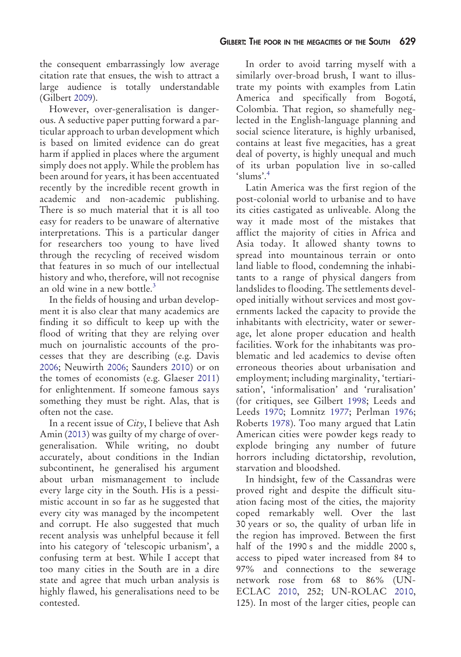the consequent embarrassingly low average citation rate that ensues, the wish to attract a large audience is totally understandable (Gilbert [2009\)](#page-7-0).

However, over-generalisation is dangerous. A seductive paper putting forward a particular approach to urban development which is based on limited evidence can do great harm if applied in places where the argument simply does not apply. While the problem has been around for years, it has been accentuated recently by the incredible recent growth in academic and non-academic publishing. There is so much material that it is all too easy for readers to be unaware of alternative interpretations. This is a particular danger for researchers too young to have lived through the recycling of received wisdom that features in so much of our intellectual history and who, therefore, will not recognise an old wine in a new bottle.<sup>[3](#page-6-0)</sup>

In the fields of housing and urban development it is also clear that many academics are finding it so difficult to keep up with the flood of writing that they are relying over much on journalistic accounts of the processes that they are describing (e.g. Davis [2006;](#page-7-0) Neuwirth [2006;](#page-7-0) Saunders [2010](#page-7-0)) or on the tomes of economists (e.g. Glaeser [2011](#page-7-0)) for enlightenment. If someone famous says something they must be right. Alas, that is often not the case.

In a recent issue of  $City$ , I believe that Ash Amin ([2013\)](#page-7-0) was guilty of my charge of overgeneralisation. While writing, no doubt accurately, about conditions in the Indian subcontinent, he generalised his argument about urban mismanagement to include every large city in the South. His is a pessimistic account in so far as he suggested that every city was managed by the incompetent and corrupt. He also suggested that much recent analysis was unhelpful because it fell into his category of 'telescopic urbanism', a confusing term at best. While I accept that too many cities in the South are in a dire state and agree that much urban analysis is highly flawed, his generalisations need to be contested.

In order to avoid tarring myself with a similarly over-broad brush, I want to illustrate my points with examples from Latin America and specifically from Bogotá, Colombia. That region, so shamefully neglected in the English-language planning and social science literature, is highly urbanised, contains at least five megacities, has a great deal of poverty, is highly unequal and much of its urban population live in so-called 'slums'.[4](#page-6-0)

Latin America was the first region of the post-colonial world to urbanise and to have its cities castigated as unliveable. Along the way it made most of the mistakes that afflict the majority of cities in Africa and Asia today. It allowed shanty towns to spread into mountainous terrain or onto land liable to flood, condemning the inhabitants to a range of physical dangers from landslides to flooding. The settlements developed initially without services and most governments lacked the capacity to provide the inhabitants with electricity, water or sewerage, let alone proper education and health facilities. Work for the inhabitants was problematic and led academics to devise often erroneous theories about urbanisation and employment; including marginality, 'tertiarisation', 'informalisation' and 'ruralisation' (for critiques, see Gilbert [1998](#page-7-0); Leeds and Leeds [1970](#page-7-0); Lomnitz [1977;](#page-7-0) Perlman [1976;](#page-7-0) Roberts [1978\)](#page-7-0). Too many argued that Latin American cities were powder kegs ready to explode bringing any number of future horrors including dictatorship, revolution, starvation and bloodshed.

In hindsight, few of the Cassandras were proved right and despite the difficult situation facing most of the cities, the majority coped remarkably well. Over the last 30 years or so, the quality of urban life in the region has improved. Between the first half of the 1990 s and the middle 2000 s, access to piped water increased from 84 to 97% and connections to the sewerage network rose from 68 to 86% (UN-ECLAC [2010,](#page-7-0) 252; UN-ROLAC [2010,](#page-7-0) 125). In most of the larger cities, people can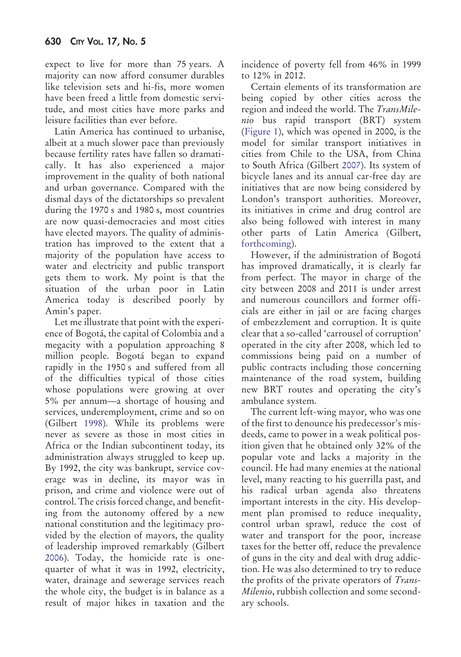expect to live for more than 75 years. A majority can now afford consumer durables like television sets and hi-fis, more women have been freed a little from domestic servitude, and most cities have more parks and leisure facilities than ever before.

Latin America has continued to urbanise, albeit at a much slower pace than previously because fertility rates have fallen so dramatically. It has also experienced a major improvement in the quality of both national and urban governance. Compared with the dismal days of the dictatorships so prevalent during the 1970 s and 1980 s, most countries are now quasi-democracies and most cities have elected mayors. The quality of administration has improved to the extent that a majority of the population have access to water and electricity and public transport gets them to work. My point is that the situation of the urban poor in Latin America today is described poorly by Amin's paper.

Let me illustrate that point with the experience of Bogota´, the capital of Colombia and a megacity with a population approaching 8 million people. Bogota´ began to expand rapidly in the 1950 s and suffered from all of the difficulties typical of those cities whose populations were growing at over 5% per annum—a shortage of housing and services, underemployment, crime and so on (Gilbert [1998\)](#page-7-0). While its problems were never as severe as those in most cities in Africa or the Indian subcontinent today, its administration always struggled to keep up. By 1992, the city was bankrupt, service coverage was in decline, its mayor was in prison, and crime and violence were out of control. The crisis forced change, and benefiting from the autonomy offered by a new national constitution and the legitimacy provided by the election of mayors, the quality of leadership improved remarkably (Gilbert [2006](#page-7-0)). Today, the homicide rate is onequarter of what it was in 1992, electricity, water, drainage and sewerage services reach the whole city, the budget is in balance as a result of major hikes in taxation and the

incidence of poverty fell from 46% in 1999 to 12% in 2012.

Certain elements of its transformation are being copied by other cities across the region and indeed the world. The TransMilenio bus rapid transport (BRT) system ([Figure 1\)](#page-3-0), which was opened in 2000, is the model for similar transport initiatives in cities from Chile to the USA, from China to South Africa (Gilbert [2007](#page-7-0)). Its system of bicycle lanes and its annual car-free day are initiatives that are now being considered by London's transport authorities. Moreover, its initiatives in crime and drug control are also being followed with interest in many other parts of Latin America (Gilbert, [forthcoming\)](#page-7-0).

However, if the administration of Bogota´ has improved dramatically, it is clearly far from perfect. The mayor in charge of the city between 2008 and 2011 is under arrest and numerous councillors and former officials are either in jail or are facing charges of embezzlement and corruption. It is quite clear that a so-called 'carrousel of corruption' operated in the city after 2008, which led to commissions being paid on a number of public contracts including those concerning maintenance of the road system, building new BRT routes and operating the city's ambulance system.

The current left-wing mayor, who was one of the first to denounce his predecessor's misdeeds, came to power in a weak political position given that he obtained only 32% of the popular vote and lacks a majority in the council. He had many enemies at the national level, many reacting to his guerrilla past, and his radical urban agenda also threatens important interests in the city. His development plan promised to reduce inequality, control urban sprawl, reduce the cost of water and transport for the poor, increase taxes for the better off, reduce the prevalence of guns in the city and deal with drug addiction. He was also determined to try to reduce the profits of the private operators of Trans-Milenio, rubbish collection and some secondary schools.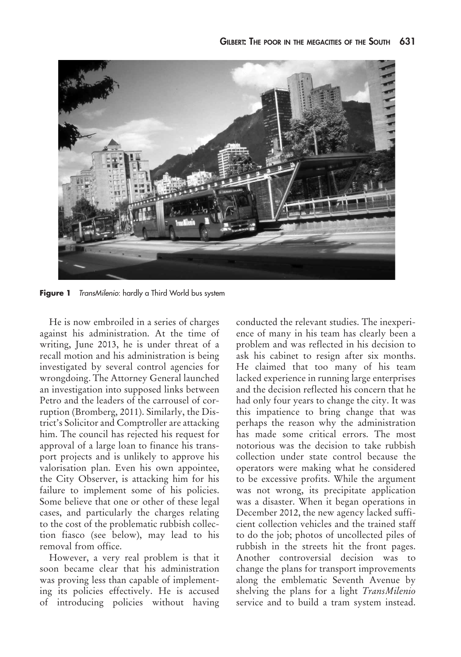<span id="page-3-0"></span>

Figure 1 TransMilenio: hardly a Third World bus system

He is now embroiled in a series of charges against his administration. At the time of writing, June 2013, he is under threat of a recall motion and his administration is being investigated by several control agencies for wrongdoing. The Attorney General launched an investigation into supposed links between Petro and the leaders of the carrousel of corruption (Bromberg, 2011). Similarly, the District's Solicitor and Comptroller are attacking him. The council has rejected his request for approval of a large loan to finance his transport projects and is unlikely to approve his valorisation plan. Even his own appointee, the City Observer, is attacking him for his failure to implement some of his policies. Some believe that one or other of these legal cases, and particularly the charges relating to the cost of the problematic rubbish collection fiasco (see below), may lead to his removal from office.

However, a very real problem is that it soon became clear that his administration was proving less than capable of implementing its policies effectively. He is accused of introducing policies without having conducted the relevant studies. The inexperience of many in his team has clearly been a problem and was reflected in his decision to ask his cabinet to resign after six months. He claimed that too many of his team lacked experience in running large enterprises and the decision reflected his concern that he had only four years to change the city. It was this impatience to bring change that was perhaps the reason why the administration has made some critical errors. The most notorious was the decision to take rubbish collection under state control because the operators were making what he considered to be excessive profits. While the argument was not wrong, its precipitate application was a disaster. When it began operations in December 2012, the new agency lacked sufficient collection vehicles and the trained staff to do the job; photos of uncollected piles of rubbish in the streets hit the front pages. Another controversial decision was to change the plans for transport improvements along the emblematic Seventh Avenue by shelving the plans for a light *TransMilenio* service and to build a tram system instead.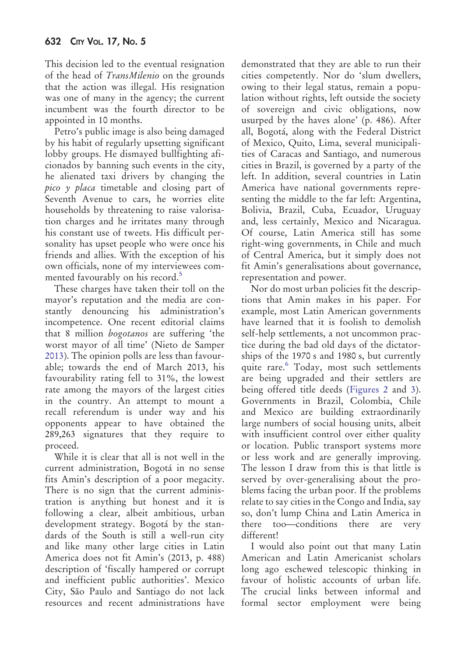This decision led to the eventual resignation of the head of TransMilenio on the grounds that the action was illegal. His resignation was one of many in the agency; the current incumbent was the fourth director to be appointed in 10 months.

Petro's public image is also being damaged by his habit of regularly upsetting significant lobby groups. He dismayed bullfighting aficionados by banning such events in the city, he alienated taxi drivers by changing the pico  $\gamma$  placa timetable and closing part of Seventh Avenue to cars, he worries elite households by threatening to raise valorisation charges and he irritates many through his constant use of tweets. His difficult personality has upset people who were once his friends and allies. With the exception of his own officials, none of my interviewees com-mented favourably on his record.<sup>[5](#page-7-0)</sup>

These charges have taken their toll on the mayor's reputation and the media are constantly denouncing his administration's incompetence. One recent editorial claims that 8 million bogotanos are suffering 'the worst mayor of all time' (Nieto de Samper [2013](#page-7-0)). The opinion polls are less than favourable; towards the end of March 2013, his favourability rating fell to 31%, the lowest rate among the mayors of the largest cities in the country. An attempt to mount a recall referendum is under way and his opponents appear to have obtained the 289,263 signatures that they require to proceed.

While it is clear that all is not well in the current administration, Bogota´ in no sense fits Amin's description of a poor megacity. There is no sign that the current administration is anything but honest and it is following a clear, albeit ambitious, urban development strategy. Bogota´ by the standards of the South is still a well-run city and like many other large cities in Latin America does not fit Amin's (2013, p. 488) description of 'fiscally hampered or corrupt and inefficient public authorities'. Mexico City, São Paulo and Santiago do not lack resources and recent administrations have

demonstrated that they are able to run their cities competently. Nor do 'slum dwellers, owing to their legal status, remain a population without rights, left outside the society of sovereign and civic obligations, now usurped by the haves alone' (p. 486). After all, Bogota´, along with the Federal District of Mexico, Quito, Lima, several municipalities of Caracas and Santiago, and numerous cities in Brazil, is governed by a party of the left. In addition, several countries in Latin America have national governments representing the middle to the far left: Argentina, Bolivia, Brazil, Cuba, Ecuador, Uruguay and, less certainly, Mexico and Nicaragua. Of course, Latin America still has some right-wing governments, in Chile and much of Central America, but it simply does not fit Amin's generalisations about governance, representation and power.

Nor do most urban policies fit the descriptions that Amin makes in his paper. For example, most Latin American governments have learned that it is foolish to demolish self-help settlements, a not uncommon practice during the bad old days of the dictatorships of the 1970 s and 1980 s, but currently quite rare.<sup>[6](#page-7-0)</sup> Today, most such settlements are being upgraded and their settlers are being offered title deeds [\(Figures 2](#page-5-0) and [3\)](#page-5-0). Governments in Brazil, Colombia, Chile and Mexico are building extraordinarily large numbers of social housing units, albeit with insufficient control over either quality or location. Public transport systems more or less work and are generally improving. The lesson I draw from this is that little is served by over-generalising about the problems facing the urban poor. If the problems relate to say cities in the Congo and India, say so, don't lump China and Latin America in there too—conditions there are very different!

I would also point out that many Latin American and Latin Americanist scholars long ago eschewed telescopic thinking in favour of holistic accounts of urban life. The crucial links between informal and formal sector employment were being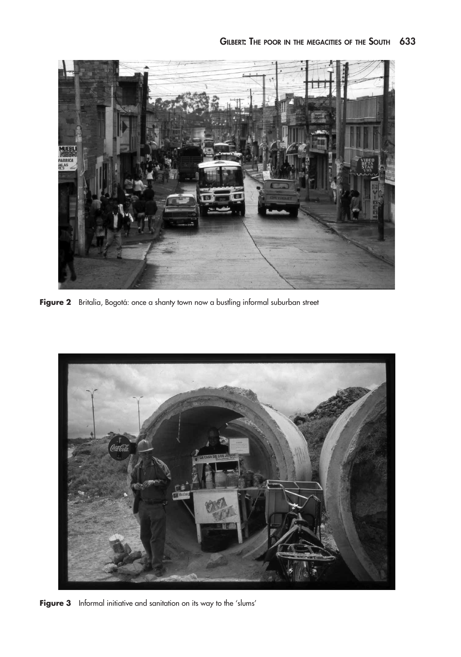<span id="page-5-0"></span>

Figure 2 Britalia, Bogotá: once a shanty town now a bustling informal suburban street



Figure 3 Informal initiative and sanitation on its way to the 'slums'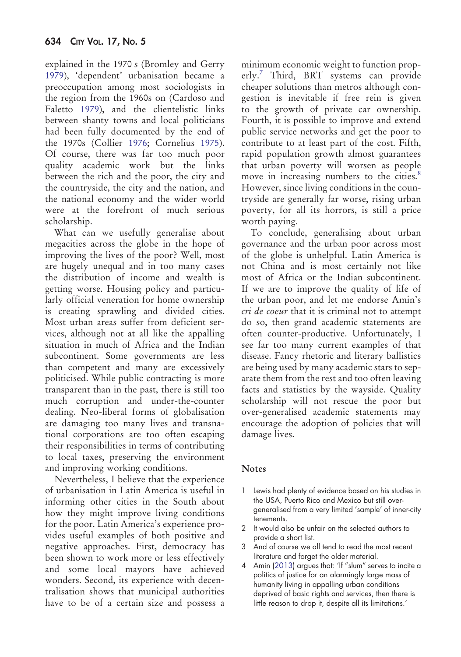<span id="page-6-0"></span>explained in the 1970 s (Bromley and Gerry [1979](#page-7-0)), 'dependent' urbanisation became a preoccupation among most sociologists in the region from the 1960s on (Cardoso and Faletto [1979](#page-7-0)), and the clientelistic links between shanty towns and local politicians had been fully documented by the end of the 1970s (Collier [1976](#page-7-0); Cornelius [1975\)](#page-7-0). Of course, there was far too much poor quality academic work but the links between the rich and the poor, the city and the countryside, the city and the nation, and the national economy and the wider world were at the forefront of much serious scholarship.

What can we usefully generalise about megacities across the globe in the hope of improving the lives of the poor? Well, most are hugely unequal and in too many cases the distribution of income and wealth is getting worse. Housing policy and particularly official veneration for home ownership is creating sprawling and divided cities. Most urban areas suffer from deficient services, although not at all like the appalling situation in much of Africa and the Indian subcontinent. Some governments are less than competent and many are excessively politicised. While public contracting is more transparent than in the past, there is still too much corruption and under-the-counter dealing. Neo-liberal forms of globalisation are damaging too many lives and transnational corporations are too often escaping their responsibilities in terms of contributing to local taxes, preserving the environment and improving working conditions.

Nevertheless, I believe that the experience of urbanisation in Latin America is useful in informing other cities in the South about how they might improve living conditions for the poor. Latin America's experience provides useful examples of both positive and negative approaches. First, democracy has been shown to work more or less effectively and some local mayors have achieved wonders. Second, its experience with decentralisation shows that municipal authorities have to be of a certain size and possess a minimum economic weight to function properly.[7](#page-7-0) Third, BRT systems can provide cheaper solutions than metros although congestion is inevitable if free rein is given to the growth of private car ownership. Fourth, it is possible to improve and extend public service networks and get the poor to contribute to at least part of the cost. Fifth, rapid population growth almost guarantees that urban poverty will worsen as people move in increasing numbers to the cities.<sup>[8](#page-7-0)</sup> However, since living conditions in the countryside are generally far worse, rising urban poverty, for all its horrors, is still a price worth paying.

To conclude, generalising about urban governance and the urban poor across most of the globe is unhelpful. Latin America is not China and is most certainly not like most of Africa or the Indian subcontinent. If we are to improve the quality of life of the urban poor, and let me endorse Amin's cri de coeur that it is criminal not to attempt do so, then grand academic statements are often counter-productive. Unfortunately, I see far too many current examples of that disease. Fancy rhetoric and literary ballistics are being used by many academic stars to separate them from the rest and too often leaving facts and statistics by the wayside. Quality scholarship will not rescue the poor but over-generalised academic statements may encourage the adoption of policies that will damage lives.

## **Notes**

- 1 Lewis had plenty of evidence based on his studies in the USA, Puerto Rico and Mexico but still overgeneralised from a very limited 'sample' of inner-city tenements.
- 2 It would also be unfair on the selected authors to provide a short list.
- 3 And of course we all tend to read the most recent literature and forget the older material.
- 4 Amin ([2013](#page-7-0)) argues that: 'If "slum" serves to incite a politics of justice for an alarmingly large mass of humanity living in appalling urban conditions deprived of basic rights and services, then there is little reason to drop it, despite all its limitations.'